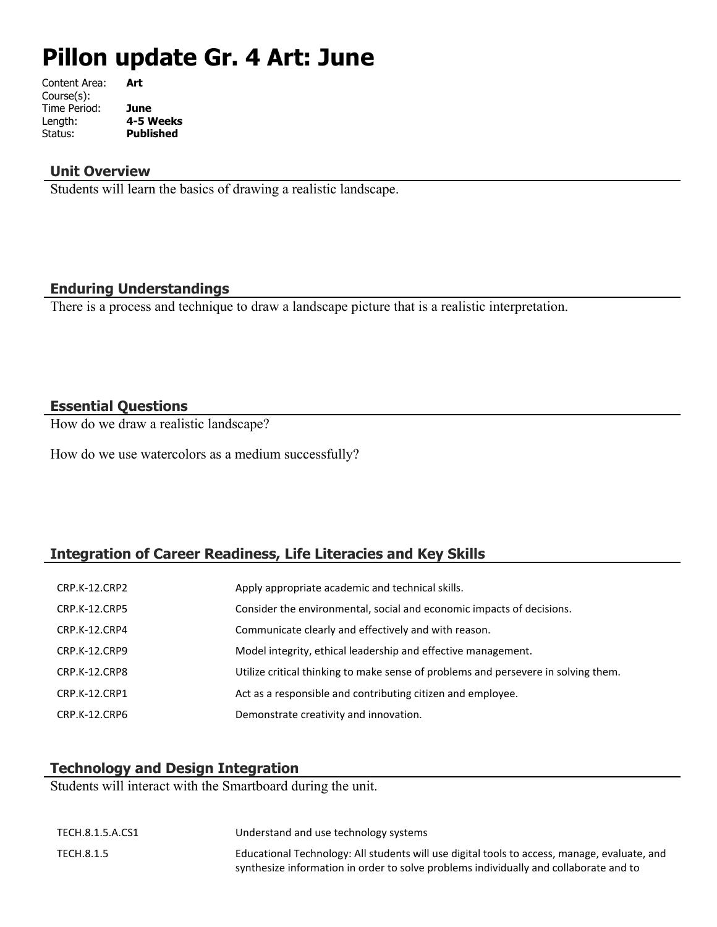# **Pillon update Gr. 4 Art: June**

| Art              |
|------------------|
|                  |
| June             |
| 4-5 Weeks        |
| <b>Published</b> |
|                  |

#### **Unit Overview**

Students will learn the basics of drawing a realistic landscape.

## **Enduring Understandings**

There is a process and technique to draw a landscape picture that is a realistic interpretation.

# **Essential Questions**

How do we draw a realistic landscape?

How do we use watercolors as a medium successfully?

# **Integration of Career Readiness, Life Literacies and Key Skills**

| CRP.K-12.CRP2        | Apply appropriate academic and technical skills.                                   |
|----------------------|------------------------------------------------------------------------------------|
| <b>CRP.K-12.CRP5</b> | Consider the environmental, social and economic impacts of decisions.              |
| CRP.K-12.CRP4        | Communicate clearly and effectively and with reason.                               |
| <b>CRP.K-12.CRP9</b> | Model integrity, ethical leadership and effective management.                      |
| CRP.K-12.CRP8        | Utilize critical thinking to make sense of problems and persevere in solving them. |
| CRP.K-12.CRP1        | Act as a responsible and contributing citizen and employee.                        |
| CRP.K-12.CRP6        | Demonstrate creativity and innovation.                                             |

# **Technology and Design Integration**

Students will interact with the Smartboard during the unit.

| TECH.8.1.5.A.CS1 | Understand and use technology systems                                                                                                                                                 |
|------------------|---------------------------------------------------------------------------------------------------------------------------------------------------------------------------------------|
| TECH.8.1.5       | Educational Technology: All students will use digital tools to access, manage, evaluate, and<br>synthesize information in order to solve problems individually and collaborate and to |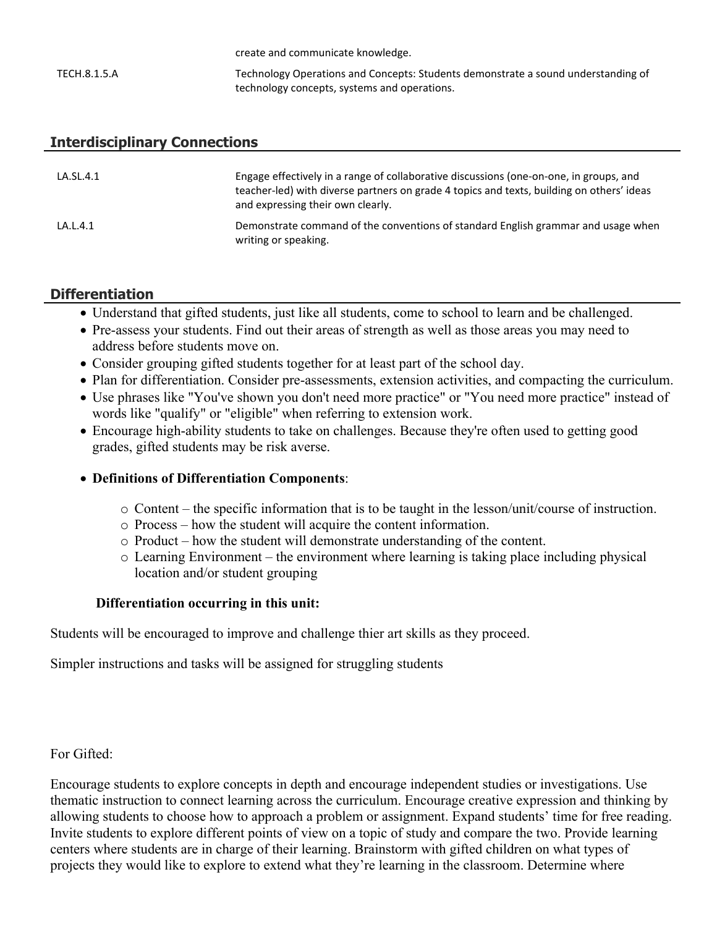|              | create and communicate Knowledge.                                                 |
|--------------|-----------------------------------------------------------------------------------|
| TECH.8.1.5.A | Technology Operations and Concepts: Students demonstrate a sound understanding of |
|              | technology concepts, systems and operations.                                      |

create and communicate knowledge.

#### **Interdisciplinary Connections**

| LA.SL.4.1 | Engage effectively in a range of collaborative discussions (one-on-one, in groups, and<br>teacher-led) with diverse partners on grade 4 topics and texts, building on others' ideas<br>and expressing their own clearly. |
|-----------|--------------------------------------------------------------------------------------------------------------------------------------------------------------------------------------------------------------------------|
| LA.L.4.1  | Demonstrate command of the conventions of standard English grammar and usage when<br>writing or speaking.                                                                                                                |

#### **Differentiation**

- Understand that gifted students, just like all students, come to school to learn and be challenged.
- Pre-assess your students. Find out their areas of strength as well as those areas you may need to address before students move on.
- Consider grouping gifted students together for at least part of the school day.
- Plan for differentiation. Consider pre-assessments, extension activities, and compacting the curriculum.
- Use phrases like "You've shown you don't need more practice" or "You need more practice" instead of words like "qualify" or "eligible" when referring to extension work.
- Encourage high-ability students to take on challenges. Because they're often used to getting good grades, gifted students may be risk averse.

#### **Definitions of Differentiation Components**:

- o Content the specific information that is to be taught in the lesson/unit/course of instruction.
- o Process how the student will acquire the content information.
- o Product how the student will demonstrate understanding of the content.
- o Learning Environment the environment where learning is taking place including physical location and/or student grouping

## **Differentiation occurring in this unit:**

Students will be encouraged to improve and challenge thier art skills as they proceed.

Simpler instructions and tasks will be assigned for struggling students

For Gifted:

Encourage students to explore concepts in depth and encourage independent studies or investigations. Use thematic instruction to connect learning across the curriculum. Encourage creative expression and thinking by allowing students to choose how to approach a problem or assignment. Expand students' time for free reading. Invite students to explore different points of view on a topic of study and compare the two. Provide learning centers where students are in charge of their learning. Brainstorm with gifted children on what types of projects they would like to explore to extend what they're learning in the classroom. Determine where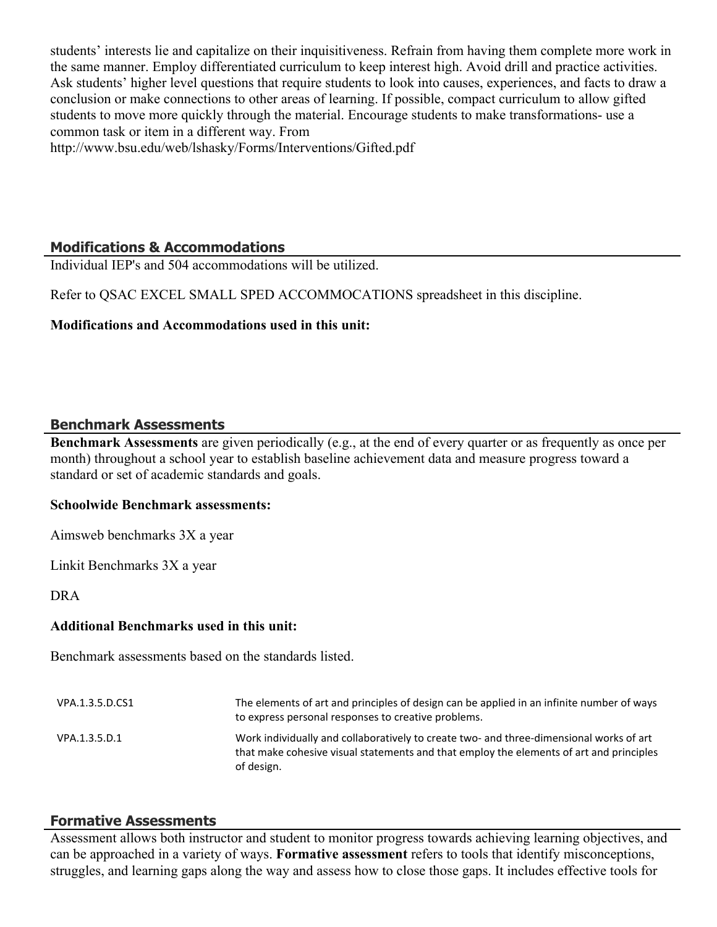students' interests lie and capitalize on their inquisitiveness. Refrain from having them complete more work in the same manner. Employ differentiated curriculum to keep interest high. Avoid drill and practice activities. Ask students' higher level questions that require students to look into causes, experiences, and facts to draw a conclusion or make connections to other areas of learning. If possible, compact curriculum to allow gifted students to move more quickly through the material. Encourage students to make transformations- use a common task or item in a different way. From

http://www.bsu.edu/web/lshasky/Forms/Interventions/Gifted.pdf

# **Modifications & Accommodations**

Individual IEP's and 504 accommodations will be utilized.

Refer to QSAC EXCEL SMALL SPED ACCOMMOCATIONS spreadsheet in this discipline.

## **Modifications and Accommodations used in this unit:**

#### **Benchmark Assessments**

**Benchmark Assessments** are given periodically (e.g., at the end of every quarter or as frequently as once per month) throughout a school year to establish baseline achievement data and measure progress toward a standard or set of academic standards and goals.

#### **Schoolwide Benchmark assessments:**

Aimsweb benchmarks 3X a year

Linkit Benchmarks 3X a year

DRA

#### **Additional Benchmarks used in this unit:**

Benchmark assessments based on the standards listed.

| VPA.1.3.5.D.CS1 | The elements of art and principles of design can be applied in an infinite number of ways<br>to express personal responses to creative problems.                                                 |
|-----------------|--------------------------------------------------------------------------------------------------------------------------------------------------------------------------------------------------|
| VPA.1.3.5.D.1   | Work individually and collaboratively to create two- and three-dimensional works of art<br>that make cohesive visual statements and that employ the elements of art and principles<br>of design. |

#### **Formative Assessments**

Assessment allows both instructor and student to monitor progress towards achieving learning objectives, and can be approached in a variety of ways. **Formative assessment** refers to tools that identify misconceptions, struggles, and learning gaps along the way and assess how to close those gaps. It includes effective tools for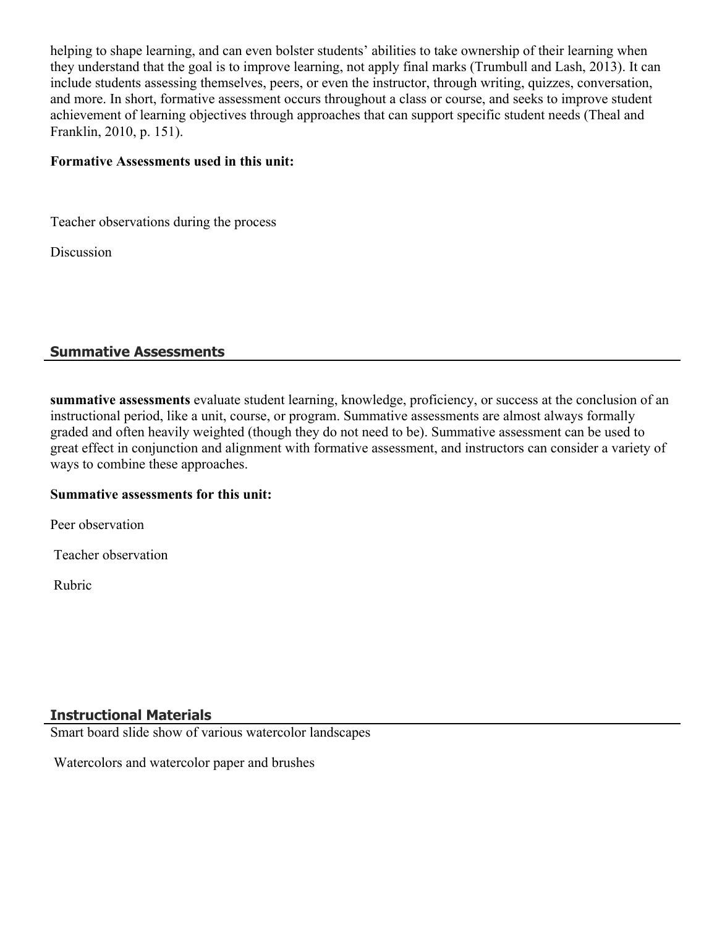helping to shape learning, and can even bolster students' abilities to take ownership of their learning when they understand that the goal is to improve learning, not apply final marks (Trumbull and Lash, 2013). It can include students assessing themselves, peers, or even the instructor, through writing, quizzes, conversation, and more. In short, formative assessment occurs throughout a class or course, and seeks to improve student achievement of learning objectives through approaches that can support specific student needs (Theal and Franklin, 2010, p. 151).

#### **Formative Assessments used in this unit:**

Teacher observations during the process

Discussion

# **Summative Assessments**

**summative assessments** evaluate student learning, knowledge, proficiency, or success at the conclusion of an instructional period, like a unit, course, or program. Summative assessments are almost always formally graded and often heavily weighted (though they do not need to be). Summative assessment can be used to great effect in conjunction and alignment with formative assessment, and instructors can consider a variety of ways to combine these approaches.

#### **Summative assessments for this unit:**

Peer observation

Teacher observation

Rubric

## **Instructional Materials**

Smart board slide show of various watercolor landscapes

Watercolors and watercolor paper and brushes